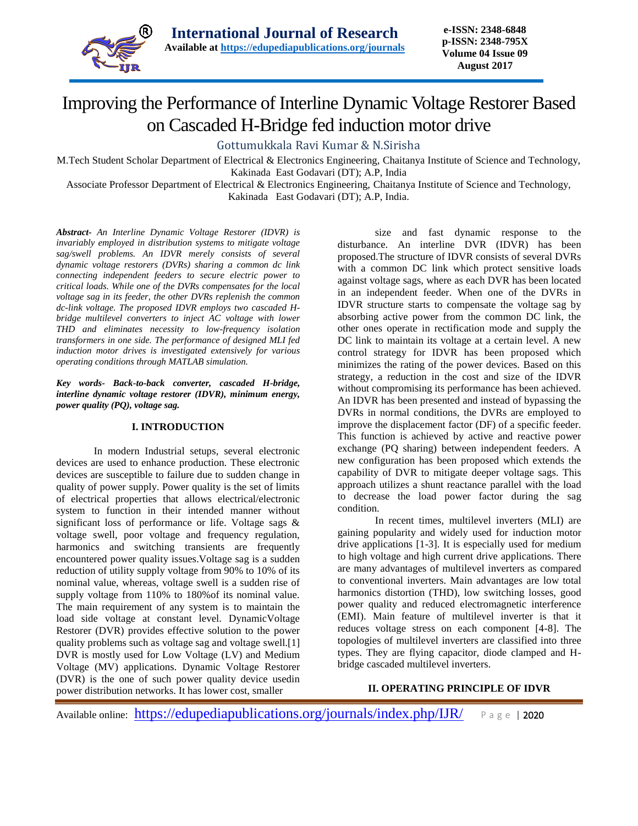

# Improving the Performance of Interline Dynamic Voltage Restorer Based on Cascaded H-Bridge fed induction motor drive

Gottumukkala Ravi Kumar & N.Sirisha

M.Tech Student Scholar Department of Electrical & Electronics Engineering, Chaitanya Institute of Science and Technology, Kakinada East Godavari (DT); A.P, India

Associate Professor Department of Electrical & Electronics Engineering, Chaitanya Institute of Science and Technology, Kakinada East Godavari (DT); A.P, India.

*Abstract- An Interline Dynamic Voltage Restorer (IDVR) is invariably employed in distribution systems to mitigate voltage sag/swell problems. An IDVR merely consists of several dynamic voltage restorers (DVRs) sharing a common dc link connecting independent feeders to secure electric power to critical loads. While one of the DVRs compensates for the local voltage sag in its feeder, the other DVRs replenish the common dc-link voltage. The proposed IDVR employs two cascaded Hbridge multilevel converters to inject AC voltage with lower THD and eliminates necessity to low-frequency isolation transformers in one side. The performance of designed MLI fed induction motor drives is investigated extensively for various operating conditions through MATLAB simulation.*

*Key words- Back-to-back converter, cascaded H-bridge, interline dynamic voltage restorer (IDVR), minimum energy, power quality (PQ), voltage sag.*

### **I. INTRODUCTION**

In modern Industrial setups, several electronic devices are used to enhance production. These electronic devices are susceptible to failure due to sudden change in quality of power supply. Power quality is the set of limits of electrical properties that allows electrical/electronic system to function in their intended manner without significant loss of performance or life. Voltage sags & voltage swell, poor voltage and frequency regulation, harmonics and switching transients are frequently encountered power quality issues.Voltage sag is a sudden reduction of utility supply voltage from 90% to 10% of its nominal value, whereas, voltage swell is a sudden rise of supply voltage from 110% to 180%of its nominal value. The main requirement of any system is to maintain the load side voltage at constant level. DynamicVoltage Restorer (DVR) provides effective solution to the power quality problems such as voltage sag and voltage swell.[1] DVR is mostly used for Low Voltage (LV) and Medium Voltage (MV) applications. Dynamic Voltage Restorer (DVR) is the one of such power quality device usedin power distribution networks. It has lower cost, smaller

size and fast dynamic response to the disturbance. An interline DVR (IDVR) has been proposed.The structure of IDVR consists of several DVRs with a common DC link which protect sensitive loads against voltage sags, where as each DVR has been located in an independent feeder. When one of the DVRs in IDVR structure starts to compensate the voltage sag by absorbing active power from the common DC link, the other ones operate in rectification mode and supply the DC link to maintain its voltage at a certain level. A new control strategy for IDVR has been proposed which minimizes the rating of the power devices. Based on this strategy, a reduction in the cost and size of the IDVR without compromising its performance has been achieved. An IDVR has been presented and instead of bypassing the DVRs in normal conditions, the DVRs are employed to improve the displacement factor (DF) of a specific feeder. This function is achieved by active and reactive power exchange (PQ sharing) between independent feeders. A new configuration has been proposed which extends the capability of DVR to mitigate deeper voltage sags. This approach utilizes a shunt reactance parallel with the load to decrease the load power factor during the sag condition.

In recent times, multilevel inverters (MLI) are gaining popularity and widely used for induction motor drive applications [1-3]. It is especially used for medium to high voltage and high current drive applications. There are many advantages of multilevel inverters as compared to conventional inverters. Main advantages are low total harmonics distortion (THD), low switching losses, good power quality and reduced electromagnetic interference (EMI). Main feature of multilevel inverter is that it reduces voltage stress on each component [4-8]. The topologies of multilevel inverters are classified into three types. They are flying capacitor, diode clamped and Hbridge cascaded multilevel inverters.

## **II. OPERATING PRINCIPLE OF IDVR**

Available online: <https://edupediapublications.org/journals/index.php/IJR/> P a g e | 2020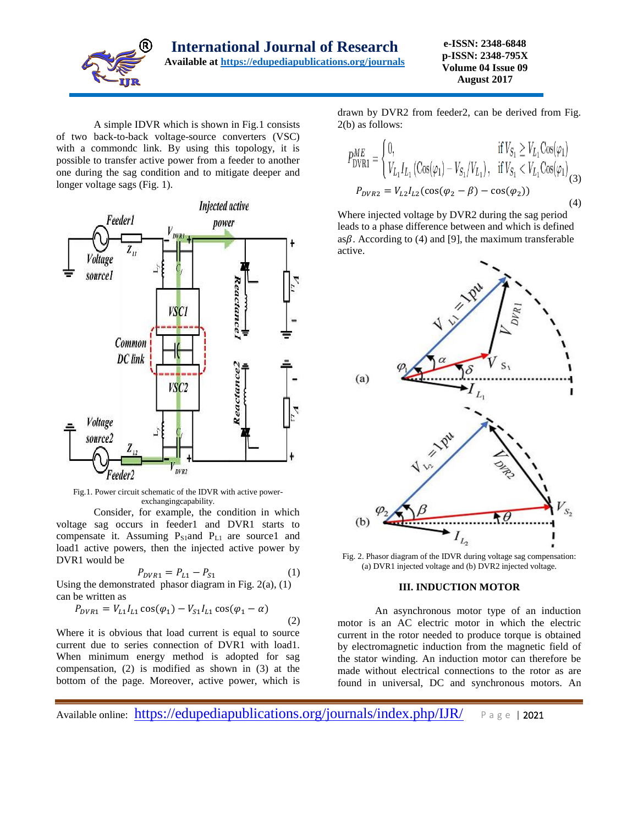

A simple IDVR which is shown in Fig.1 consists of two back-to-back voltage-source converters (VSC) with a commondc link. By using this topology, it is possible to transfer active power from a feeder to another one during the sag condition and to mitigate deeper and longer voltage sags (Fig. 1).



Fig.1. Power circuit schematic of the IDVR with active powerexchangingcapability.

Consider, for example, the condition in which voltage sag occurs in feeder1 and DVR1 starts to compensate it. Assuming  $P_{S1}$ and  $P_{L1}$  are source1 and load1 active powers, then the injected active power by DVR1 would be

$$
P_{DVR1} = P_{L1} - P_{S1} \tag{1}
$$

Using the demonstrated phasor diagram in Fig. 2(a), (1) can be written as

$$
P_{DVR1} = V_{L1}I_{L1}\cos(\varphi_1) - V_{S1}I_{L1}\cos(\varphi_1 - \alpha)
$$
\n(2)

Where it is obvious that load current is equal to source current due to series connection of DVR1 with load1. When minimum energy method is adopted for sag compensation, (2) is modified as shown in (3) at the bottom of the page. Moreover, active power, which is drawn by DVR2 from feeder2, can be derived from Fig. 2(b) as follows:

$$
P_{DVR1}^{ME} = \begin{cases} 0, & \text{if } V_{S_1} \ge V_{L_1} \text{Cos}(\varphi_1) \\ V_{L_1} I_{L_1} \left( \text{Cos}(\varphi_1) - V_{S_1} / V_{L_1} \right), & \text{if } V_{S_1} < V_{L_1} \text{Cos}(\varphi_1) \\ P_{DVR2} = V_{L2} I_{L2} \left( \text{cos}(\varphi_2 - \beta) - \text{cos}(\varphi_2) \right) \end{cases} \tag{4}
$$

Where injected voltage by DVR2 during the sag period leads to a phase difference between and which is defined as $\beta$ . According to (4) and [9], the maximum transferable active.



Fig. 2. Phasor diagram of the IDVR during voltage sag compensation: (a) DVR1 injected voltage and (b) DVR2 injected voltage.

#### **III. INDUCTION MOTOR**

An asynchronous motor type of an induction motor is an AC electric motor in which the electric current in the rotor needed to produce torque is obtained by electromagnetic induction from the magnetic field of the stator winding. An induction motor can therefore be made without electrical connections to the rotor as are found in universal, DC and synchronous motors. An

Available online: <https://edupediapublications.org/journals/index.php/IJR/> P a g e | 2021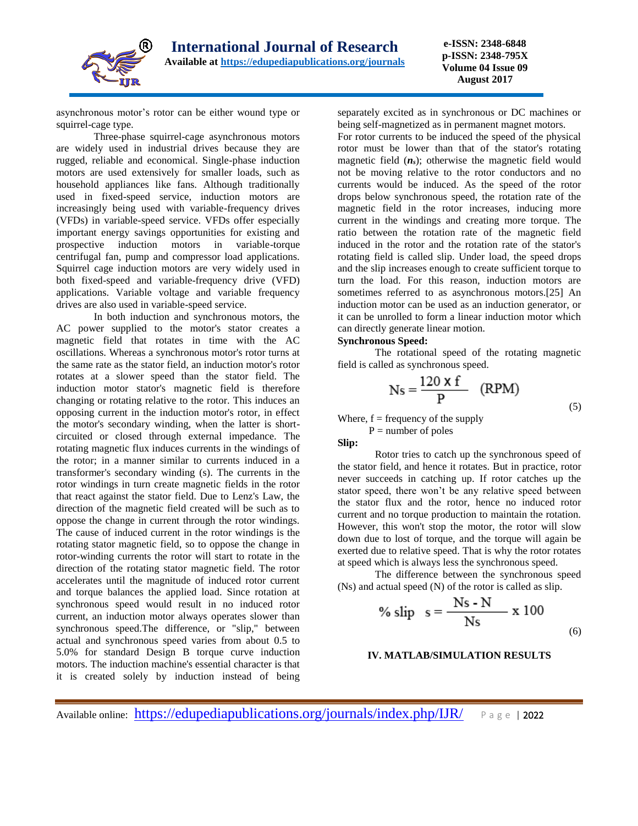

**e-ISSN: 2348-6848 p-ISSN: 2348-795X Volume 04 Issue 09 August 2017**

asynchronous motor's rotor can be either wound type or squirrel-cage type.

Three-phase squirrel-cage asynchronous motors are widely used in industrial drives because they are rugged, reliable and economical. Single-phase induction motors are used extensively for smaller loads, such as household appliances like fans. Although traditionally used in fixed-speed service, induction motors are increasingly being used with variable-frequency drives (VFDs) in variable-speed service. VFDs offer especially important energy savings opportunities for existing and prospective induction motors in variable-torque centrifugal fan, pump and compressor load applications. Squirrel cage induction motors are very widely used in both fixed-speed and variable-frequency drive (VFD) applications. Variable voltage and variable frequency drives are also used in variable-speed service.

In both induction and synchronous motors, the AC power supplied to the motor's stator creates a magnetic field that rotates in time with the AC oscillations. Whereas a synchronous motor's rotor turns at the same rate as the stator field, an induction motor's rotor rotates at a slower speed than the stator field. The induction motor stator's magnetic field is therefore changing or rotating relative to the rotor. This induces an opposing current in the induction motor's rotor, in effect the motor's secondary winding, when the latter is shortcircuited or closed through external impedance. The rotating magnetic flux induces currents in the windings of the rotor; in a manner similar to currents induced in a transformer's secondary winding (s). The currents in the rotor windings in turn create magnetic fields in the rotor that react against the stator field. Due to Lenz's Law, the direction of the magnetic field created will be such as to oppose the change in current through the rotor windings. The cause of induced current in the rotor windings is the rotating stator magnetic field, so to oppose the change in rotor-winding currents the rotor will start to rotate in the direction of the rotating stator magnetic field. The rotor accelerates until the magnitude of induced rotor current and torque balances the applied load. Since rotation at synchronous speed would result in no induced rotor current, an induction motor always operates slower than synchronous speed.The difference, or "slip," between actual and synchronous speed varies from about 0.5 to 5.0% for standard Design B torque curve induction motors. The induction machine's essential character is that it is created solely by induction instead of being

separately excited as in synchronous or DC machines or being self-magnetized as in permanent magnet motors.

For rotor currents to be induced the speed of the physical rotor must be lower than that of the stator's rotating magnetic field (*ns*); otherwise the magnetic field would not be moving relative to the rotor conductors and no currents would be induced. As the speed of the rotor drops below synchronous speed, the rotation rate of the magnetic field in the rotor increases, inducing more current in the windings and creating more torque. The ratio between the rotation rate of the magnetic field induced in the rotor and the rotation rate of the stator's rotating field is called slip. Under load, the speed drops and the slip increases enough to create sufficient torque to turn the load. For this reason, induction motors are sometimes referred to as asynchronous motors.[25] An induction motor can be used as an induction generator, or it can be unrolled to form a linear induction motor which can directly generate linear motion.

#### **Synchronous Speed:**

The rotational speed of the rotating magnetic field is called as synchronous speed.

$$
Ns = \frac{120 \times f}{P} \quad (RPM)
$$
 (5)

Where,  $f = frequency of the supply$  $P =$  number of poles

**Slip:**

Rotor tries to catch up the synchronous speed of the stator field, and hence it rotates. But in practice, rotor never succeeds in catching up. If rotor catches up the stator speed, there won't be any relative speed between the stator flux and the rotor, hence no induced rotor current and no torque production to maintain the rotation. However, this won't stop the motor, the rotor will slow down due to lost of torque, and the torque will again be exerted due to relative speed. That is why the rotor rotates at speed which is always less the synchronous speed.

The difference between the synchronous speed (Ns) and actual speed (N) of the rotor is called as slip.

$$
\% \text{ slip} \quad s = \frac{\text{Ns} - \text{N}}{\text{Ns}} \times 100 \tag{6}
$$

#### **IV. MATLAB/SIMULATION RESULTS**

Available online: <https://edupediapublications.org/journals/index.php/IJR/> P a g e | 2022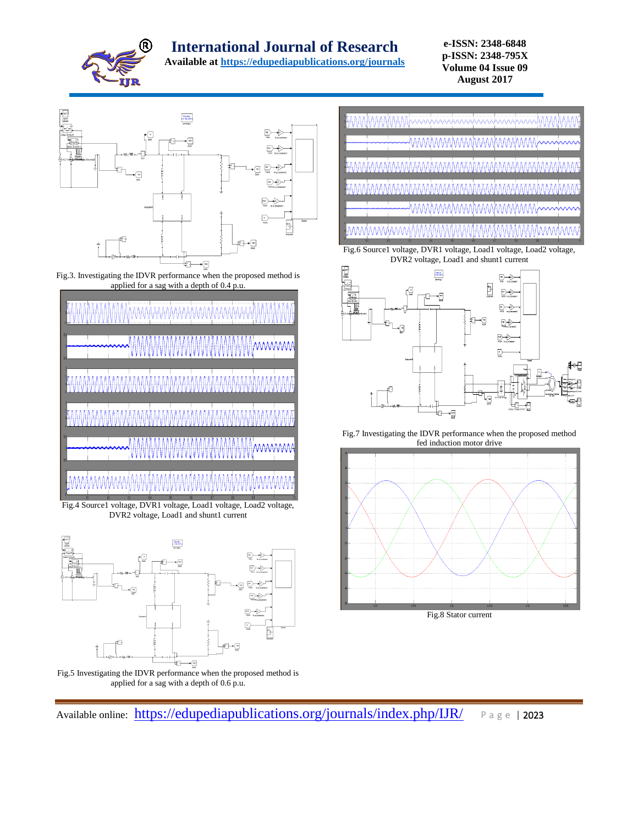

**Available at<https://edupediapublications.org/journals>**

**e-ISSN: 2348-6848 p-ISSN: 2348-795X Volume 04 Issue 09 August 2017**







Fig.4 Source1 voltage, DVR1 voltage, Load1 voltage, Load2 voltage, DVR2 voltage, Load1 and shunt1 current



Fig.5 Investigating the IDVR performance when the proposed method is applied for a sag with a depth of 0.6 p.u.



Fig.6 Source1 voltage, DVR1 voltage, Load1 voltage, Load2 voltage, DVR2 voltage, Load1 and shunt1 current



Fig.7 Investigating the IDVR performance when the proposed method fed induction motor drive



Available online: <https://edupediapublications.org/journals/index.php/IJR/> Page | 2023